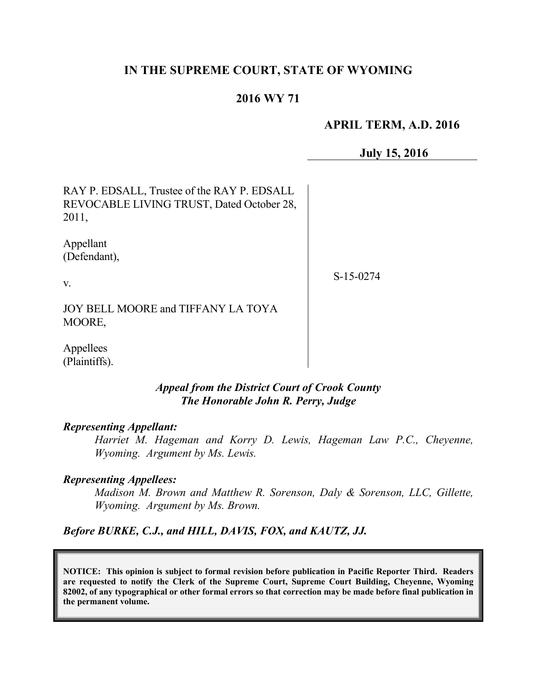## **IN THE SUPREME COURT, STATE OF WYOMING**

## **2016 WY 71**

## **APRIL TERM, A.D. 2016**

**July 15, 2016**

RAY P. EDSALL, Trustee of the RAY P. EDSALL REVOCABLE LIVING TRUST, Dated October 28, 2011,

Appellant (Defendant),

v.

S-15-0274

JOY BELL MOORE and TIFFANY LA TOYA MOORE,

Appellees (Plaintiffs).

### *Appeal from the District Court of Crook County The Honorable John R. Perry, Judge*

#### *Representing Appellant:*

*Harriet M. Hageman and Korry D. Lewis, Hageman Law P.C., Cheyenne, Wyoming. Argument by Ms. Lewis.*

#### *Representing Appellees:*

*Madison M. Brown and Matthew R. Sorenson, Daly & Sorenson, LLC, Gillette, Wyoming. Argument by Ms. Brown.*

*Before BURKE, C.J., and HILL, DAVIS, FOX, and KAUTZ, JJ.*

**NOTICE: This opinion is subject to formal revision before publication in Pacific Reporter Third. Readers are requested to notify the Clerk of the Supreme Court, Supreme Court Building, Cheyenne, Wyoming 82002, of any typographical or other formal errors so that correction may be made before final publication in the permanent volume.**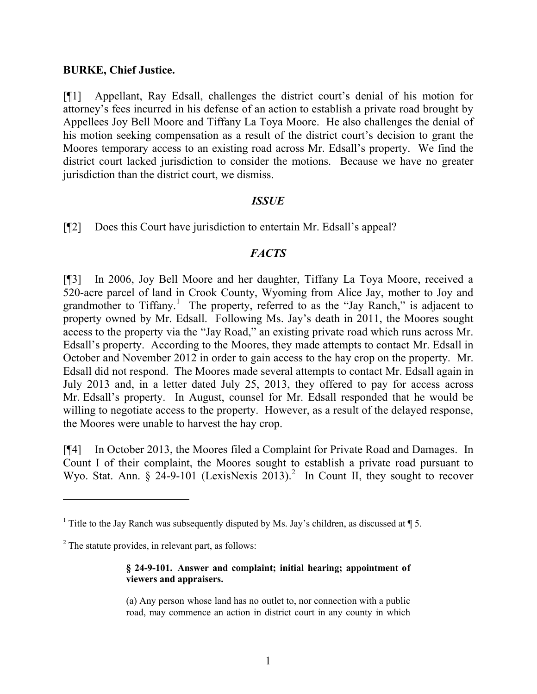#### **BURKE, Chief Justice.**

[¶1] Appellant, Ray Edsall, challenges the district court's denial of his motion for attorney's fees incurred in his defense of an action to establish a private road brought by Appellees Joy Bell Moore and Tiffany La Toya Moore. He also challenges the denial of his motion seeking compensation as a result of the district court's decision to grant the Moores temporary access to an existing road across Mr. Edsall's property. We find the district court lacked jurisdiction to consider the motions. Because we have no greater jurisdiction than the district court, we dismiss.

### *ISSUE*

[¶2] Does this Court have jurisdiction to entertain Mr. Edsall's appeal?

### *FACTS*

[¶3] In 2006, Joy Bell Moore and her daughter, Tiffany La Toya Moore, received a 520-acre parcel of land in Crook County, Wyoming from Alice Jay, mother to Joy and grandmother to Tiffany.<sup>1</sup> The property, referred to as the "Jay Ranch," is adjacent to property owned by Mr. Edsall. Following Ms. Jay's death in 2011, the Moores sought access to the property via the "Jay Road," an existing private road which runs across Mr. Edsall's property. According to the Moores, they made attempts to contact Mr. Edsall in October and November 2012 in order to gain access to the hay crop on the property. Mr. Edsall did not respond. The Moores made several attempts to contact Mr. Edsall again in July 2013 and, in a letter dated July 25, 2013, they offered to pay for access across Mr. Edsall's property. In August, counsel for Mr. Edsall responded that he would be willing to negotiate access to the property. However, as a result of the delayed response, the Moores were unable to harvest the hay crop.

[¶4] In October 2013, the Moores filed a Complaint for Private Road and Damages. In Count I of their complaint, the Moores sought to establish a private road pursuant to Wyo. Stat. Ann. § 24-9-101 (LexisNexis 2013).<sup>2</sup> In Count II, they sought to recover

#### **§ 24-9-101. Answer and complaint; initial hearing; appointment of viewers and appraisers.**

(a) Any person whose land has no outlet to, nor connection with a public road, may commence an action in district court in any county in which

<sup>&</sup>lt;sup>1</sup> Title to the Jay Ranch was subsequently disputed by Ms. Jay's children, as discussed at  $\P$  5.

 $2$  The statute provides, in relevant part, as follows: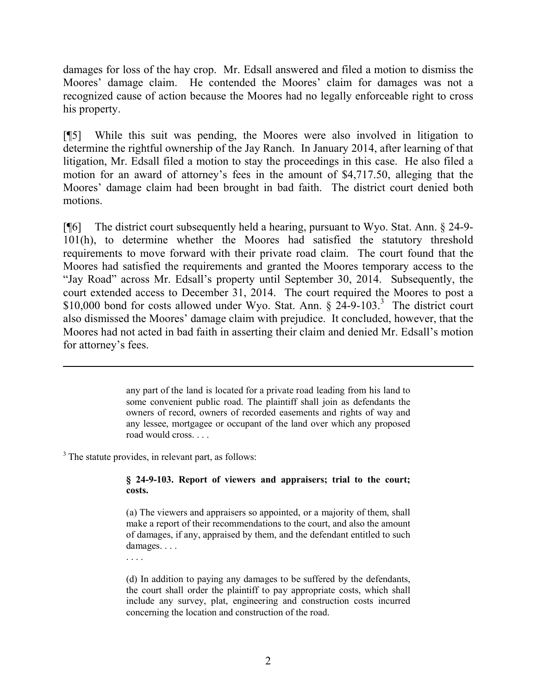damages for loss of the hay crop. Mr. Edsall answered and filed a motion to dismiss the Moores' damage claim. He contended the Moores' claim for damages was not a recognized cause of action because the Moores had no legally enforceable right to cross his property.

[¶5] While this suit was pending, the Moores were also involved in litigation to determine the rightful ownership of the Jay Ranch. In January 2014, after learning of that litigation, Mr. Edsall filed a motion to stay the proceedings in this case. He also filed a motion for an award of attorney's fees in the amount of \$4,717.50, alleging that the Moores' damage claim had been brought in bad faith. The district court denied both motions.

[¶6] The district court subsequently held a hearing, pursuant to Wyo. Stat. Ann. § 24-9- 101(h), to determine whether the Moores had satisfied the statutory threshold requirements to move forward with their private road claim. The court found that the Moores had satisfied the requirements and granted the Moores temporary access to the "Jay Road" across Mr. Edsall's property until September 30, 2014. Subsequently, the court extended access to December 31, 2014. The court required the Moores to post a \$10,000 bond for costs allowed under Wyo. Stat. Ann.  $\S 24-9-103$ <sup>3</sup>. The district court also dismissed the Moores' damage claim with prejudice. It concluded, however, that the Moores had not acted in bad faith in asserting their claim and denied Mr. Edsall's motion for attorney's fees.

> any part of the land is located for a private road leading from his land to some convenient public road. The plaintiff shall join as defendants the owners of record, owners of recorded easements and rights of way and any lessee, mortgagee or occupant of the land over which any proposed road would cross. . . .

<sup>3</sup> The statute provides, in relevant part, as follows:

. . . .

 $\overline{a}$ 

**§ 24-9-103. Report of viewers and appraisers; trial to the court; costs.**

(a) The viewers and appraisers so appointed, or a majority of them, shall make a report of their recommendations to the court, and also the amount of damages, if any, appraised by them, and the defendant entitled to such damages. . . .

(d) In addition to paying any damages to be suffered by the defendants, the court shall order the plaintiff to pay appropriate costs, which shall include any survey, plat, engineering and construction costs incurred concerning the location and construction of the road.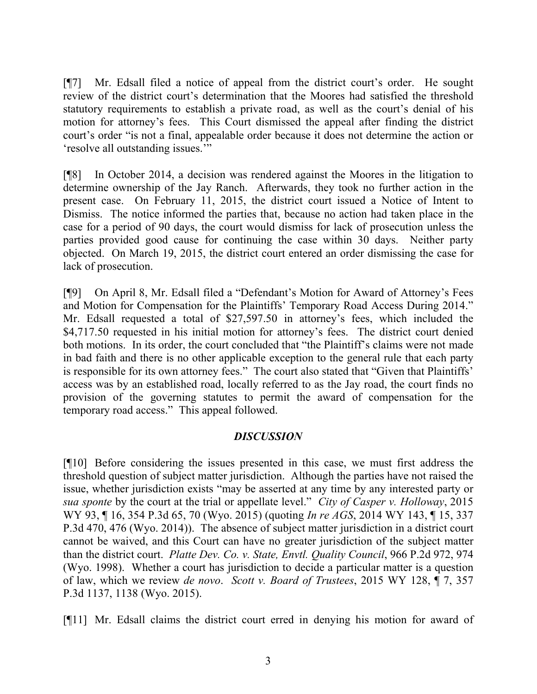[¶7] Mr. Edsall filed a notice of appeal from the district court's order. He sought review of the district court's determination that the Moores had satisfied the threshold statutory requirements to establish a private road, as well as the court's denial of his motion for attorney's fees. This Court dismissed the appeal after finding the district court's order "is not a final, appealable order because it does not determine the action or 'resolve all outstanding issues.'"

[¶8] In October 2014, a decision was rendered against the Moores in the litigation to determine ownership of the Jay Ranch. Afterwards, they took no further action in the present case. On February 11, 2015, the district court issued a Notice of Intent to Dismiss. The notice informed the parties that, because no action had taken place in the case for a period of 90 days, the court would dismiss for lack of prosecution unless the parties provided good cause for continuing the case within 30 days. Neither party objected. On March 19, 2015, the district court entered an order dismissing the case for lack of prosecution.

[¶9] On April 8, Mr. Edsall filed a "Defendant's Motion for Award of Attorney's Fees and Motion for Compensation for the Plaintiffs' Temporary Road Access During 2014." Mr. Edsall requested a total of \$27,597.50 in attorney's fees, which included the \$4,717.50 requested in his initial motion for attorney's fees. The district court denied both motions. In its order, the court concluded that "the Plaintiff's claims were not made in bad faith and there is no other applicable exception to the general rule that each party is responsible for its own attorney fees." The court also stated that "Given that Plaintiffs' access was by an established road, locally referred to as the Jay road, the court finds no provision of the governing statutes to permit the award of compensation for the temporary road access." This appeal followed.

### *DISCUSSION*

[¶10] Before considering the issues presented in this case, we must first address the threshold question of subject matter jurisdiction. Although the parties have not raised the issue, whether jurisdiction exists "may be asserted at any time by any interested party or *sua sponte* by the court at the trial or appellate level." *City of Casper v. Holloway*, 2015 WY 93, ¶ 16, 354 P.3d 65, 70 (Wyo. 2015) (quoting *In re AGS*, 2014 WY 143, ¶ 15, 337 P.3d 470, 476 (Wyo. 2014)). The absence of subject matter jurisdiction in a district court cannot be waived, and this Court can have no greater jurisdiction of the subject matter than the district court. *Platte Dev. Co. v. State, Envtl. Quality Council*, 966 P.2d 972, 974 (Wyo. 1998). Whether a court has jurisdiction to decide a particular matter is a question of law, which we review *de novo*. *Scott v. Board of Trustees*, 2015 WY 128, ¶ 7, 357 P.3d 1137, 1138 (Wyo. 2015).

[¶11] Mr. Edsall claims the district court erred in denying his motion for award of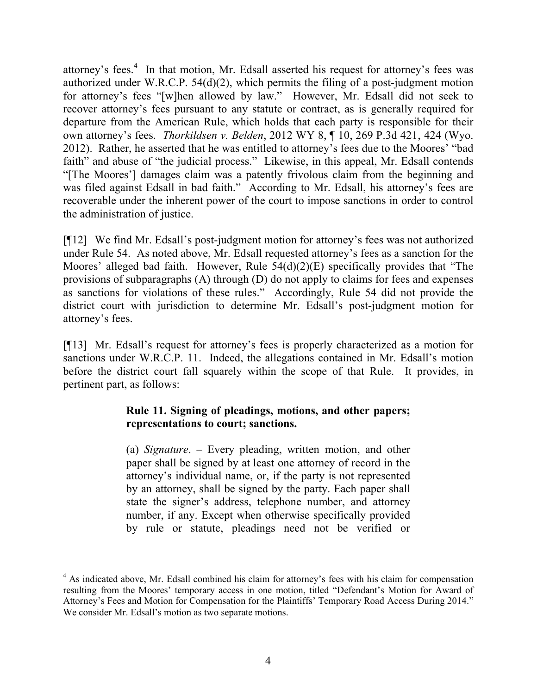attorney's fees.<sup>4</sup> In that motion, Mr. Edsall asserted his request for attorney's fees was authorized under W.R.C.P. 54(d)(2), which permits the filing of a post-judgment motion for attorney's fees "[w]hen allowed by law." However, Mr. Edsall did not seek to recover attorney's fees pursuant to any statute or contract, as is generally required for departure from the American Rule, which holds that each party is responsible for their own attorney's fees. *Thorkildsen v. Belden*, 2012 WY 8, ¶ 10, 269 P.3d 421, 424 (Wyo. 2012). Rather, he asserted that he was entitled to attorney's fees due to the Moores' "bad faith" and abuse of "the judicial process." Likewise, in this appeal, Mr. Edsall contends "[The Moores'] damages claim was a patently frivolous claim from the beginning and was filed against Edsall in bad faith." According to Mr. Edsall, his attorney's fees are recoverable under the inherent power of the court to impose sanctions in order to control the administration of justice.

[¶12] We find Mr. Edsall's post-judgment motion for attorney's fees was not authorized under Rule 54. As noted above, Mr. Edsall requested attorney's fees as a sanction for the Moores' alleged bad faith. However, Rule 54(d)(2)(E) specifically provides that "The provisions of subparagraphs (A) through (D) do not apply to claims for fees and expenses as sanctions for violations of these rules." Accordingly, Rule 54 did not provide the district court with jurisdiction to determine Mr. Edsall's post-judgment motion for attorney's fees.

[¶13] Mr. Edsall's request for attorney's fees is properly characterized as a motion for sanctions under W.R.C.P. 11. Indeed, the allegations contained in Mr. Edsall's motion before the district court fall squarely within the scope of that Rule. It provides, in pertinent part, as follows:

## **Rule 11. Signing of pleadings, motions, and other papers; representations to court; sanctions.**

(a) *Signature*. – Every pleading, written motion, and other paper shall be signed by at least one attorney of record in the attorney's individual name, or, if the party is not represented by an attorney, shall be signed by the party. Each paper shall state the signer's address, telephone number, and attorney number, if any. Except when otherwise specifically provided by rule or statute, pleadings need not be verified or

 $\overline{a}$ 

<sup>&</sup>lt;sup>4</sup> As indicated above, Mr. Edsall combined his claim for attorney's fees with his claim for compensation resulting from the Moores' temporary access in one motion, titled "Defendant's Motion for Award of Attorney's Fees and Motion for Compensation for the Plaintiffs' Temporary Road Access During 2014." We consider Mr. Edsall's motion as two separate motions.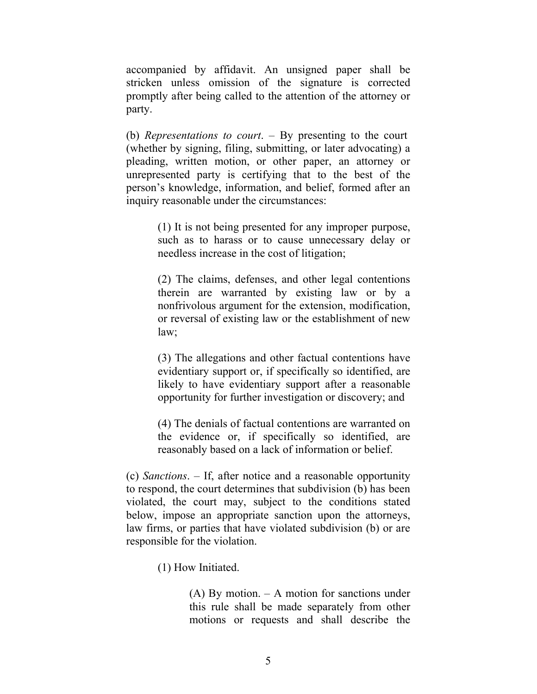accompanied by affidavit. An unsigned paper shall be stricken unless omission of the signature is corrected promptly after being called to the attention of the attorney or party.

(b) *Representations to court*. – By presenting to the court (whether by signing, filing, submitting, or later advocating) a pleading, written motion, or other paper, an attorney or unrepresented party is certifying that to the best of the person's knowledge, information, and belief, formed after an inquiry reasonable under the circumstances:

> (1) It is not being presented for any improper purpose, such as to harass or to cause unnecessary delay or needless increase in the cost of litigation;

> (2) The claims, defenses, and other legal contentions therein are warranted by existing law or by a nonfrivolous argument for the extension, modification, or reversal of existing law or the establishment of new law;

> (3) The allegations and other factual contentions have evidentiary support or, if specifically so identified, are likely to have evidentiary support after a reasonable opportunity for further investigation or discovery; and

> (4) The denials of factual contentions are warranted on the evidence or, if specifically so identified, are reasonably based on a lack of information or belief.

(c) *Sanctions*. – If, after notice and a reasonable opportunity to respond, the court determines that subdivision (b) has been violated, the court may, subject to the conditions stated below, impose an appropriate sanction upon the attorneys, law firms, or parties that have violated subdivision (b) or are responsible for the violation.

(1) How Initiated.

(A) By motion. – A motion for sanctions under this rule shall be made separately from other motions or requests and shall describe the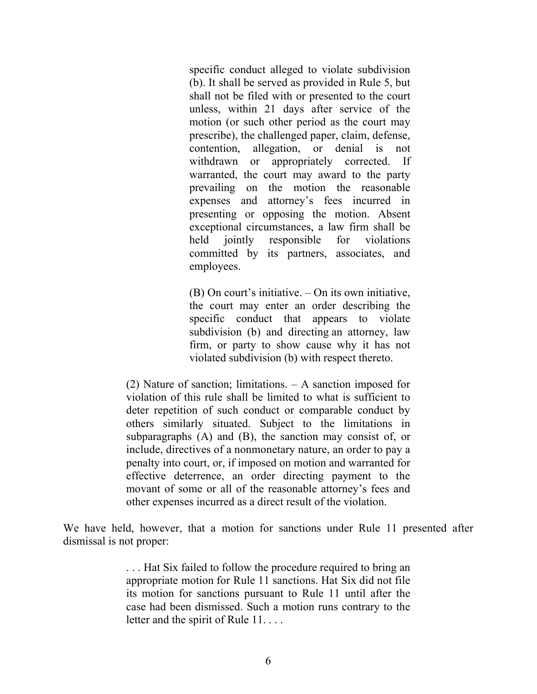specific conduct alleged to violate subdivision (b). It shall be served as provided in Rule 5, but shall not be filed with or presented to the court unless, within 21 days after service of the motion (or such other period as the court may prescribe), the challenged paper, claim, defense, contention, allegation, or denial is not withdrawn or appropriately corrected. If warranted, the court may award to the party prevailing on the motion the reasonable expenses and attorney's fees incurred in presenting or opposing the motion. Absent exceptional circumstances, a law firm shall be held jointly responsible for violations committed by its partners, associates, and employees.

(B) On court's initiative. – On its own initiative, the court may enter an order describing the specific conduct that appears to violate subdivision (b) and directing an attorney, law firm, or party to show cause why it has not violated subdivision (b) with respect thereto.

(2) Nature of sanction; limitations. – A sanction imposed for violation of this rule shall be limited to what is sufficient to deter repetition of such conduct or comparable conduct by others similarly situated. Subject to the limitations in subparagraphs (A) and (B), the sanction may consist of, or include, directives of a nonmonetary nature, an order to pay a penalty into court, or, if imposed on motion and warranted for effective deterrence, an order directing payment to the movant of some or all of the reasonable attorney's fees and other expenses incurred as a direct result of the violation.

We have held, however, that a motion for sanctions under Rule 11 presented after dismissal is not proper:

> . . . Hat Six failed to follow the procedure required to bring an appropriate motion for Rule 11 sanctions. Hat Six did not file its motion for sanctions pursuant to Rule 11 until after the case had been dismissed. Such a motion runs contrary to the letter and the spirit of Rule 11...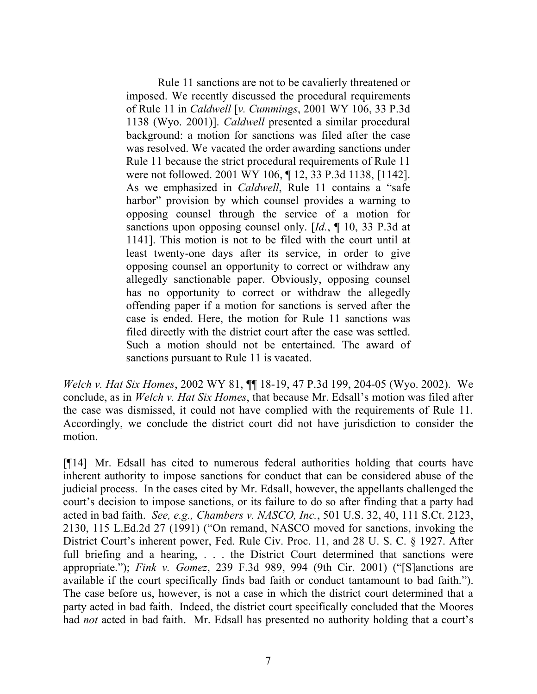Rule 11 sanctions are not to be cavalierly threatened or imposed. We recently discussed the procedural requirements of Rule 11 in *Caldwell* [*v. Cummings*, 2001 WY 106, 33 P.3d 1138 (Wyo. 2001)]. *Caldwell* presented a similar procedural background: a motion for sanctions was filed after the case was resolved. We vacated the order awarding sanctions under Rule 11 because the strict procedural requirements of Rule 11 were not followed. 2001 WY 106, ¶ 12, 33 P.3d 1138, [1142]. As we emphasized in *Caldwell*, Rule 11 contains a "safe harbor" provision by which counsel provides a warning to opposing counsel through the service of a motion for sanctions upon opposing counsel only. [*Id.*, ¶ 10, 33 P.3d at 1141]. This motion is not to be filed with the court until at least twenty-one days after its service, in order to give opposing counsel an opportunity to correct or withdraw any allegedly sanctionable paper. Obviously, opposing counsel has no opportunity to correct or withdraw the allegedly offending paper if a motion for sanctions is served after the case is ended. Here, the motion for Rule 11 sanctions was filed directly with the district court after the case was settled. Such a motion should not be entertained. The award of sanctions pursuant to Rule 11 is vacated.

*Welch v. Hat Six Homes*, 2002 WY 81, ¶¶ 18-19, 47 P.3d 199, 204-05 (Wyo. 2002). We conclude, as in *Welch v. Hat Six Homes*, that because Mr. Edsall's motion was filed after the case was dismissed, it could not have complied with the requirements of Rule 11. Accordingly, we conclude the district court did not have jurisdiction to consider the motion.

[¶14] Mr. Edsall has cited to numerous federal authorities holding that courts have inherent authority to impose sanctions for conduct that can be considered abuse of the judicial process. In the cases cited by Mr. Edsall, however, the appellants challenged the court's decision to impose sanctions, or its failure to do so after finding that a party had acted in bad faith. *See, e.g., Chambers v. NASCO, Inc.*, 501 U.S. 32, 40, 111 S.Ct. 2123, 2130, 115 L.Ed.2d 27 (1991) ("On remand, NASCO moved for sanctions, invoking the District Court's inherent power, Fed. Rule Civ. Proc. 11, and 28 U. S. C. § 1927. After full briefing and a hearing, ... the District Court determined that sanctions were appropriate."); *Fink v. Gomez*, 239 F.3d 989, 994 (9th Cir. 2001) ("[S]anctions are available if the court specifically finds bad faith or conduct tantamount to bad faith."). The case before us, however, is not a case in which the district court determined that a party acted in bad faith. Indeed, the district court specifically concluded that the Moores had *not* acted in bad faith. Mr. Edsall has presented no authority holding that a court's